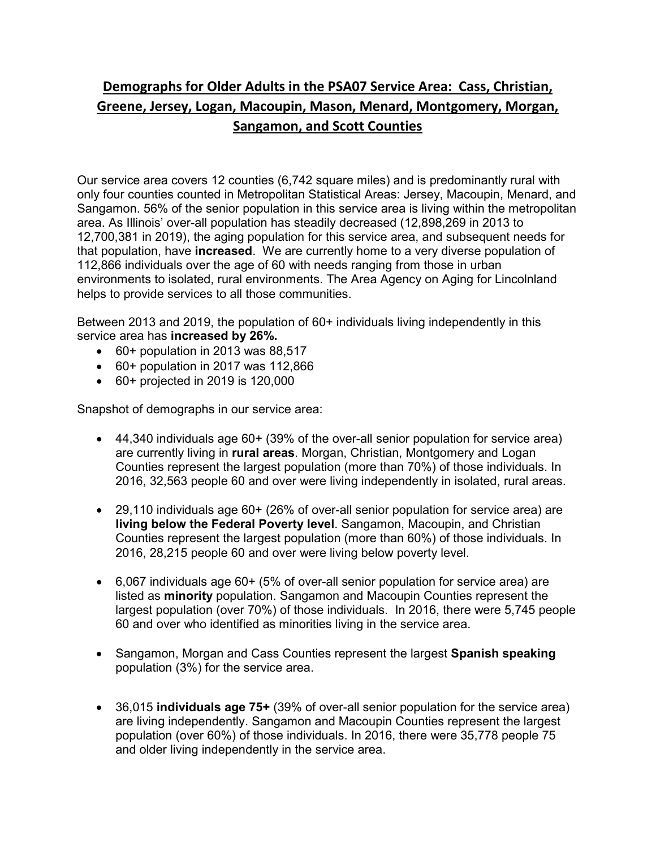## **Demographs for Older Adults in the PSA07 Service Area: Cass, Christian, Greene, Jersey, Logan, Macoupin, Mason, Menard, Montgomery, Morgan, Sangamon, and Scott Counties**

Our service area covers 12 counties (6,742 square miles) and is predominantly rural with only four counties counted in Metropolitan Statistical Areas: Jersey, Macoupin, Menard, and Sangamon. 56% of the senior population in this service area is living within the metropolitan area. As Illinois' over-all population has steadily decreased (12,898,269 in 2013 to 12,700,381 in 2019), the aging population for this service area, and subsequent needs for that population, have **increased**. We are currently home to a very diverse population of 112,866 individuals over the age of 60 with needs ranging from those in urban environments to isolated, rural environments. The Area Agency on Aging for Lincolnland helps to provide services to all those communities.

Between 2013 and 2019, the population of 60+ individuals living independently in this service area has **increased by 26%.**

- 60+ population in 2013 was 88,517
- 60+ population in 2017 was 112,866
- 60+ projected in 2019 is 120,000

Snapshot of demographs in our service area:

- 44,340 individuals age 60+ (39% of the over-all senior population for service area) are currently living in **rural areas**. Morgan, Christian, Montgomery and Logan Counties represent the largest population (more than 70%) of those individuals. In 2016, 32,563 people 60 and over were living independently in isolated, rural areas.
- 29,110 individuals age 60+ (26% of over-all senior population for service area) are **living below the Federal Poverty level**. Sangamon, Macoupin, and Christian Counties represent the largest population (more than 60%) of those individuals. In 2016, 28,215 people 60 and over were living below poverty level.
- 6,067 individuals age 60+ (5% of over-all senior population for service area) are listed as **minority** population. Sangamon and Macoupin Counties represent the largest population (over 70%) of those individuals. In 2016, there were 5,745 people 60 and over who identified as minorities living in the service area.
- Sangamon, Morgan and Cass Counties represent the largest **Spanish speaking** population (3%) for the service area.
- 36,015 **individuals age 75+** (39% of over-all senior population for the service area) are living independently. Sangamon and Macoupin Counties represent the largest population (over 60%) of those individuals. In 2016, there were 35,778 people 75 and older living independently in the service area.